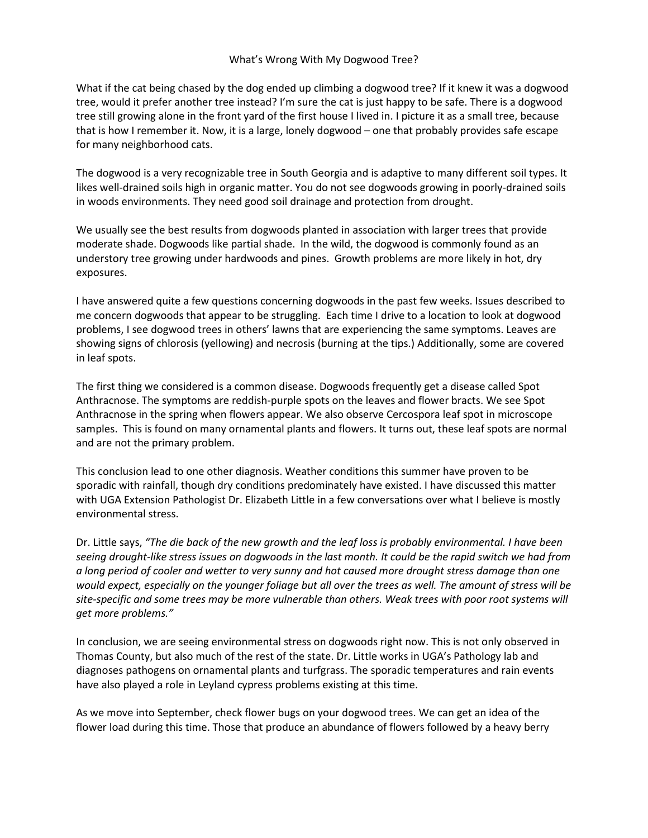What if the cat being chased by the dog ended up climbing a dogwood tree? If it knew it was a dogwood tree, would it prefer another tree instead? I'm sure the cat is just happy to be safe. There is a dogwood tree still growing alone in the front yard of the first house I lived in. I picture it as a small tree, because that is how I remember it. Now, it is a large, lonely dogwood – one that probably provides safe escape for many neighborhood cats.

The dogwood is a very recognizable tree in South Georgia and is adaptive to many different soil types. It likes well-drained soils high in organic matter. You do not see dogwoods growing in poorly-drained soils in woods environments. They need good soil drainage and protection from drought.

We usually see the best results from dogwoods planted in association with larger trees that provide moderate shade. Dogwoods like partial shade. In the wild, the dogwood is commonly found as an understory tree growing under hardwoods and pines. Growth problems are more likely in hot, dry exposures.

I have answered quite a few questions concerning dogwoods in the past few weeks. Issues described to me concern dogwoods that appear to be struggling. Each time I drive to a location to look at dogwood problems, I see dogwood trees in others' lawns that are experiencing the same symptoms. Leaves are showing signs of chlorosis (yellowing) and necrosis (burning at the tips.) Additionally, some are covered in leaf spots.

The first thing we considered is a common disease. Dogwoods frequently get a disease called Spot Anthracnose. The symptoms are reddish-purple spots on the leaves and flower bracts. We see Spot Anthracnose in the spring when flowers appear. We also observe Cercospora leaf spot in microscope samples. This is found on many ornamental plants and flowers. It turns out, these leaf spots are normal and are not the primary problem.

This conclusion lead to one other diagnosis. Weather conditions this summer have proven to be sporadic with rainfall, though dry conditions predominately have existed. I have discussed this matter with UGA Extension Pathologist Dr. Elizabeth Little in a few conversations over what I believe is mostly environmental stress.

Dr. Little says, *"The die back of the new growth and the leaf loss is probably environmental. I have been seeing drought-like stress issues on dogwoods in the last month. It could be the rapid switch we had from a long period of cooler and wetter to very sunny and hot caused more drought stress damage than one would expect, especially on the younger foliage but all over the trees as well. The amount of stress will be site-specific and some trees may be more vulnerable than others. Weak trees with poor root systems will get more problems."*

In conclusion, we are seeing environmental stress on dogwoods right now. This is not only observed in Thomas County, but also much of the rest of the state. Dr. Little works in UGA's Pathology lab and diagnoses pathogens on ornamental plants and turfgrass. The sporadic temperatures and rain events have also played a role in Leyland cypress problems existing at this time.

As we move into September, check flower bugs on your dogwood trees. We can get an idea of the flower load during this time. Those that produce an abundance of flowers followed by a heavy berry